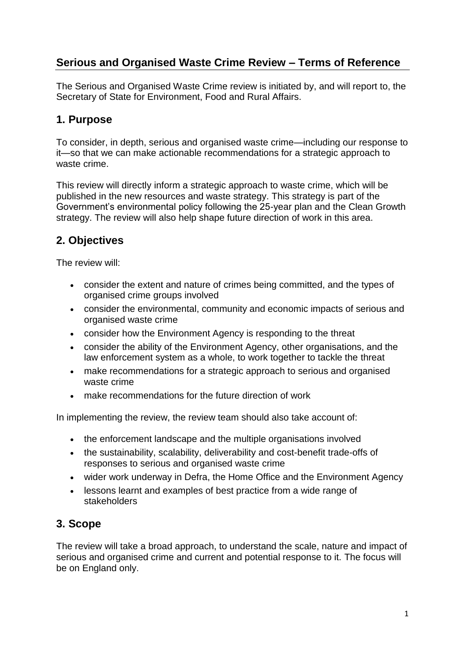# **Serious and Organised Waste Crime Review – Terms of Reference**

The Serious and Organised Waste Crime review is initiated by, and will report to, the Secretary of State for Environment, Food and Rural Affairs.

#### **1. Purpose**

To consider, in depth, serious and organised waste crime—including our response to it—so that we can make actionable recommendations for a strategic approach to waste crime.

This review will directly inform a strategic approach to waste crime, which will be published in the new resources and waste strategy. This strategy is part of the Government's environmental policy following the 25-year plan and the Clean Growth strategy. The review will also help shape future direction of work in this area.

## **2. Objectives**

The review will:

- consider the extent and nature of crimes being committed, and the types of organised crime groups involved
- consider the environmental, community and economic impacts of serious and organised waste crime
- consider how the Environment Agency is responding to the threat
- consider the ability of the Environment Agency, other organisations, and the law enforcement system as a whole, to work together to tackle the threat
- make recommendations for a strategic approach to serious and organised waste crime
- make recommendations for the future direction of work

In implementing the review, the review team should also take account of:

- the enforcement landscape and the multiple organisations involved
- the sustainability, scalability, deliverability and cost-benefit trade-offs of responses to serious and organised waste crime
- wider work underway in Defra, the Home Office and the Environment Agency
- lessons learnt and examples of best practice from a wide range of stakeholders

## **3. Scope**

The review will take a broad approach, to understand the scale, nature and impact of serious and organised crime and current and potential response to it. The focus will be on England only.